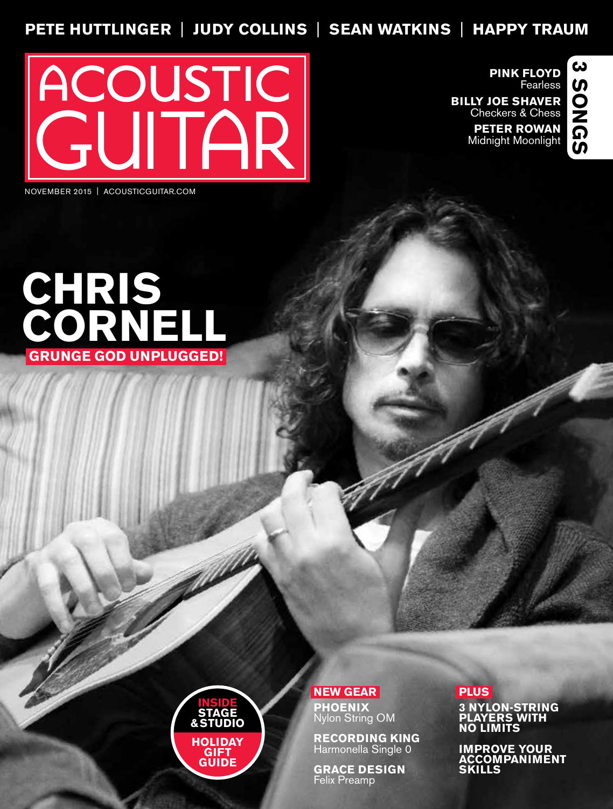## **PETE HUTTLINGER** | **JUDY COLLINS** | **SEAN WATKINS** | **HAPPY TRAUM**



**PINK FLOYD** Fearless

**BILLY JOE SHAVER** Checkers & Chess

> **PETER ROWAN** Midnight Moonlight



NOVEMBER 2015 | ACOUSTICGUITAR.COM





**NEW GEAR PHOENIX** Nylon String OM

**RECORDING KING**  Harmonella Single 0

**GRACE DESIGN** Felix Preamp

## **PLUS**

**3 NYLON-STRING PLAYERS WITH NO LIMITS**

**IMPROVE YOUR ACCOMPANIMENT SKILLS**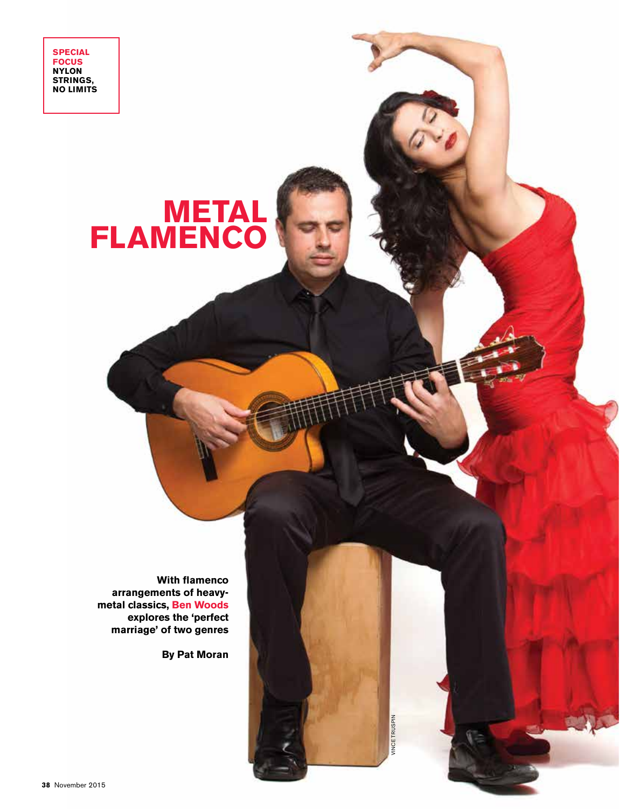**SPECIAL FOCUS NYLON STRINGS, NO LIMITS**

## **METAL FLAMENCO**

**With flamenco arrangements of heavymetal classics, Ben Woods explores the 'perfect marriage' of two genres**

**By Pat Moran**

VINCE TRUSPIN INCE TRUSPIN